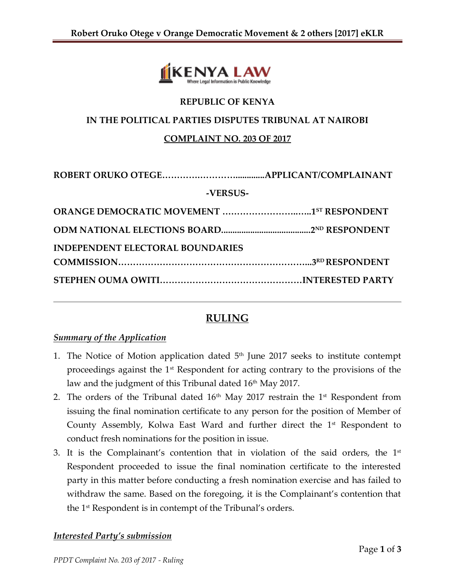

## **REPUBLIC OF KENYA**

### **IN THE POLITICAL PARTIES DISPUTES TRIBUNAL AT NAIROBI**

### **COMPLAINT NO. 203 OF 2017**

| -VERSUS-                                |  |  |
|-----------------------------------------|--|--|
|                                         |  |  |
|                                         |  |  |
| <b>INDEPENDENT ELECTORAL BOUNDARIES</b> |  |  |
|                                         |  |  |
|                                         |  |  |

# **RULING**

### *Summary of the Application*

- 1. The Notice of Motion application dated  $5<sup>th</sup>$  June 2017 seeks to institute contempt proceedings against the  $1<sup>st</sup>$  Respondent for acting contrary to the provisions of the law and the judgment of this Tribunal dated  $16<sup>th</sup>$  May 2017.
- 2. The orders of the Tribunal dated  $16<sup>th</sup>$  May 2017 restrain the 1<sup>st</sup> Respondent from issuing the final nomination certificate to any person for the position of Member of County Assembly, Kolwa East Ward and further direct the  $1<sup>st</sup>$  Respondent to conduct fresh nominations for the position in issue.
- 3. It is the Complainant's contention that in violation of the said orders, the  $1^\text{st}$ Respondent proceeded to issue the final nomination certificate to the interested party in this matter before conducting a fresh nomination exercise and has failed to withdraw the same. Based on the foregoing, it is the Complainant's contention that the 1<sup>st</sup> Respondent is in contempt of the Tribunal's orders.

#### *Interested Party's submission*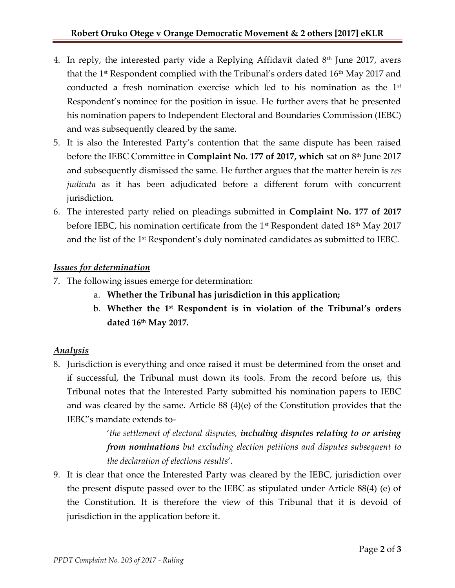- 4. In reply, the interested party vide a Replying Affidavit dated  $8<sup>th</sup>$  June 2017, avers that the 1<sup>st</sup> Respondent complied with the Tribunal's orders dated 16<sup>th</sup> May 2017 and conducted a fresh nomination exercise which led to his nomination as the  $1<sup>st</sup>$ Respondent's nominee for the position in issue. He further avers that he presented his nomination papers to Independent Electoral and Boundaries Commission (IEBC) and was subsequently cleared by the same.
- 5. It is also the Interested Party's contention that the same dispute has been raised before the IEBC Committee in **Complaint No. 177 of 2017, which** sat on 8<sup>th</sup> June 2017 and subsequently dismissed the same. He further argues that the matter herein is *res judicata* as it has been adjudicated before a different forum with concurrent jurisdiction.
- 6. The interested party relied on pleadings submitted in **Complaint No. 177 of 2017**  before IEBC, his nomination certificate from the  $1<sup>st</sup>$  Respondent dated  $18<sup>th</sup>$  May 2017 and the list of the 1<sup>st</sup> Respondent's duly nominated candidates as submitted to IEBC.

## *Issues for determination*

- 7. The following issues emerge for determination:
	- a. **Whether the Tribunal has jurisdiction in this application;**
	- b. **Whether the 1st Respondent is in violation of the Tribunal's orders dated 16th May 2017.**

## *Analysis*

8. Jurisdiction is everything and once raised it must be determined from the onset and if successful, the Tribunal must down its tools. From the record before us, this Tribunal notes that the Interested Party submitted his nomination papers to IEBC and was cleared by the same. Article 88 (4)(e) of the Constitution provides that the IEBC's mandate extends to-

> '*the settlement of electoral disputes, including disputes relating to or arising from nominations but excluding election petitions and disputes subsequent to the declaration of elections results*'.

9. It is clear that once the Interested Party was cleared by the IEBC, jurisdiction over the present dispute passed over to the IEBC as stipulated under Article 88(4) (e) of the Constitution. It is therefore the view of this Tribunal that it is devoid of jurisdiction in the application before it.